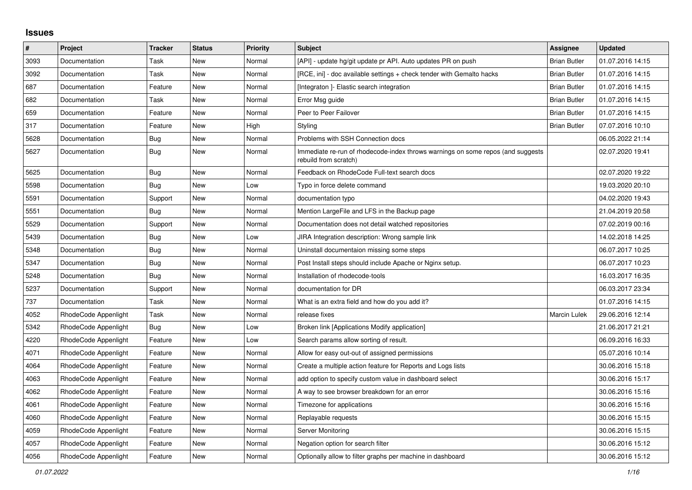## **Issues**

| $\vert$ # | Project              | Tracker    | <b>Status</b> | <b>Priority</b> | <b>Subject</b>                                                                                           | <b>Assignee</b>     | <b>Updated</b>   |
|-----------|----------------------|------------|---------------|-----------------|----------------------------------------------------------------------------------------------------------|---------------------|------------------|
| 3093      | Documentation        | Task       | New           | Normal          | [API] - update hg/git update pr API. Auto updates PR on push                                             | <b>Brian Butler</b> | 01.07.2016 14:15 |
| 3092      | Documentation        | Task       | <b>New</b>    | Normal          | [RCE, ini] - doc available settings + check tender with Gemalto hacks                                    | <b>Brian Butler</b> | 01.07.2016 14:15 |
| 687       | Documentation        | Feature    | New           | Normal          | [Integraton] - Elastic search integration                                                                | <b>Brian Butler</b> | 01.07.2016 14:15 |
| 682       | Documentation        | Task       | New           | Normal          | Error Msg guide                                                                                          | <b>Brian Butler</b> | 01.07.2016 14:15 |
| 659       | Documentation        | Feature    | New           | Normal          | Peer to Peer Failover                                                                                    | <b>Brian Butler</b> | 01.07.2016 14:15 |
| 317       | Documentation        | Feature    | New           | High            | Styling                                                                                                  | <b>Brian Butler</b> | 07.07.2016 10:10 |
| 5628      | Documentation        | Bug        | New           | Normal          | Problems with SSH Connection docs                                                                        |                     | 06.05.2022 21:14 |
| 5627      | Documentation        | Bug        | New           | Normal          | Immediate re-run of rhodecode-index throws warnings on some repos (and suggests<br>rebuild from scratch) |                     | 02.07.2020 19:41 |
| 5625      | Documentation        | <b>Bug</b> | <b>New</b>    | Normal          | Feedback on RhodeCode Full-text search docs                                                              |                     | 02.07.2020 19:22 |
| 5598      | Documentation        | Bug        | New           | Low             | Typo in force delete command                                                                             |                     | 19.03.2020 20:10 |
| 5591      | Documentation        | Support    | New           | Normal          | documentation typo                                                                                       |                     | 04.02.2020 19:43 |
| 5551      | Documentation        | Bug        | New           | Normal          | Mention LargeFile and LFS in the Backup page                                                             |                     | 21.04.2019 20:58 |
| 5529      | Documentation        | Support    | New           | Normal          | Documentation does not detail watched repositories                                                       |                     | 07.02.2019 00:16 |
| 5439      | Documentation        | <b>Bug</b> | <b>New</b>    | Low             | JIRA Integration description: Wrong sample link                                                          |                     | 14.02.2018 14:25 |
| 5348      | Documentation        | Bug        | New           | Normal          | Uninstall documentaion missing some steps                                                                |                     | 06.07.2017 10:25 |
| 5347      | Documentation        | Bug        | New           | Normal          | Post Install steps should include Apache or Nginx setup.                                                 |                     | 06.07.2017 10:23 |
| 5248      | Documentation        | Bug        | New           | Normal          | Installation of rhodecode-tools                                                                          |                     | 16.03.2017 16:35 |
| 5237      | Documentation        | Support    | New           | Normal          | documentation for DR                                                                                     |                     | 06.03.2017 23:34 |
| 737       | Documentation        | Task       | <b>New</b>    | Normal          | What is an extra field and how do you add it?                                                            |                     | 01.07.2016 14:15 |
| 4052      | RhodeCode Appenlight | Task       | New           | Normal          | release fixes                                                                                            | <b>Marcin Lulek</b> | 29.06.2016 12:14 |
| 5342      | RhodeCode Appenlight | Bug        | New           | Low             | Broken link [Applications Modify application]                                                            |                     | 21.06.2017 21:21 |
| 4220      | RhodeCode Appenlight | Feature    | New           | Low             | Search params allow sorting of result.                                                                   |                     | 06.09.2016 16:33 |
| 4071      | RhodeCode Appenlight | Feature    | New           | Normal          | Allow for easy out-out of assigned permissions                                                           |                     | 05.07.2016 10:14 |
| 4064      | RhodeCode Appenlight | Feature    | <b>New</b>    | Normal          | Create a multiple action feature for Reports and Logs lists                                              |                     | 30.06.2016 15:18 |
| 4063      | RhodeCode Appenlight | Feature    | New           | Normal          | add option to specify custom value in dashboard select                                                   |                     | 30.06.2016 15:17 |
| 4062      | RhodeCode Appenlight | Feature    | New           | Normal          | A way to see browser breakdown for an error                                                              |                     | 30.06.2016 15:16 |
| 4061      | RhodeCode Appenlight | Feature    | New           | Normal          | Timezone for applications                                                                                |                     | 30.06.2016 15:16 |
| 4060      | RhodeCode Appenlight | Feature    | New           | Normal          | Replayable requests                                                                                      |                     | 30.06.2016 15:15 |
| 4059      | RhodeCode Appenlight | Feature    | <b>New</b>    | Normal          | Server Monitoring                                                                                        |                     | 30.06.2016 15:15 |
| 4057      | RhodeCode Appenlight | Feature    | New           | Normal          | Negation option for search filter                                                                        |                     | 30.06.2016 15:12 |
| 4056      | RhodeCode Appenlight | Feature    | New           | Normal          | Optionally allow to filter graphs per machine in dashboard                                               |                     | 30.06.2016 15:12 |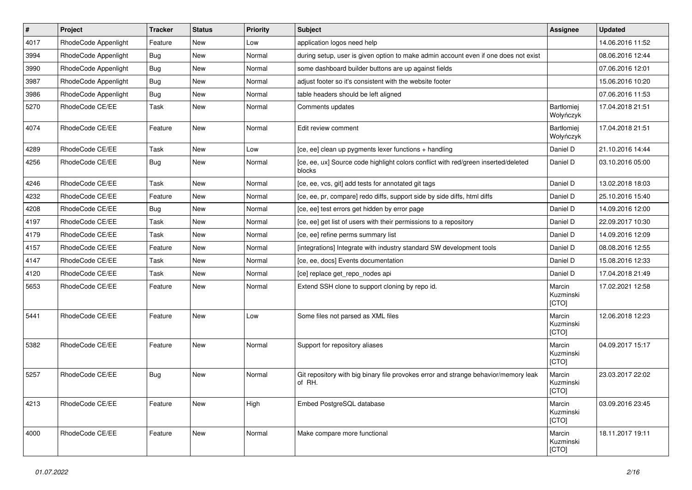| $\vert$ # | Project              | <b>Tracker</b> | <b>Status</b> | Priority | <b>Subject</b>                                                                                | <b>Assignee</b>              | <b>Updated</b>   |
|-----------|----------------------|----------------|---------------|----------|-----------------------------------------------------------------------------------------------|------------------------------|------------------|
| 4017      | RhodeCode Appenlight | Feature        | New           | Low      | application logos need help                                                                   |                              | 14.06.2016 11:52 |
| 3994      | RhodeCode Appenlight | <b>Bug</b>     | <b>New</b>    | Normal   | during setup, user is given option to make admin account even if one does not exist           |                              | 08.06.2016 12:44 |
| 3990      | RhodeCode Appenlight | Bug            | New           | Normal   | some dashboard builder buttons are up against fields                                          |                              | 07.06.2016 12:01 |
| 3987      | RhodeCode Appenlight | Bug            | New           | Normal   | adjust footer so it's consistent with the website footer                                      |                              | 15.06.2016 10:20 |
| 3986      | RhodeCode Appenlight | Bug            | <b>New</b>    | Normal   | table headers should be left aligned                                                          |                              | 07.06.2016 11:53 |
| 5270      | RhodeCode CE/EE      | Task           | New           | Normal   | Comments updates                                                                              | Bartłomiej<br>Wołyńczyk      | 17.04.2018 21:51 |
| 4074      | RhodeCode CE/EE      | Feature        | <b>New</b>    | Normal   | Edit review comment                                                                           | Bartłomiej<br>Wołyńczyk      | 17.04.2018 21:51 |
| 4289      | RhodeCode CE/EE      | Task           | <b>New</b>    | Low      | [ce, ee] clean up pygments lexer functions + handling                                         | Daniel D                     | 21.10.2016 14:44 |
| 4256      | RhodeCode CE/EE      | Bug            | New           | Normal   | [ce, ee, ux] Source code highlight colors conflict with red/green inserted/deleted<br>blocks  | Daniel D                     | 03.10.2016 05:00 |
| 4246      | RhodeCode CE/EE      | Task           | <b>New</b>    | Normal   | [ce, ee, vcs, git] add tests for annotated git tags                                           | Daniel D                     | 13.02.2018 18:03 |
| 4232      | RhodeCode CE/EE      | Feature        | New           | Normal   | [ce, ee, pr, compare] redo diffs, support side by side diffs, html diffs                      | Daniel D                     | 25.10.2016 15:40 |
| 4208      | RhodeCode CE/EE      | Bug            | New           | Normal   | [ce, ee] test errors get hidden by error page                                                 | Daniel D                     | 14.09.2016 12:00 |
| 4197      | RhodeCode CE/EE      | Task           | <b>New</b>    | Normal   | [ce, ee] get list of users with their permissions to a repository                             | Daniel D                     | 22.09.2017 10:30 |
| 4179      | RhodeCode CE/EE      | Task           | New           | Normal   | [ce, ee] refine perms summary list                                                            | Daniel D                     | 14.09.2016 12:09 |
| 4157      | RhodeCode CE/EE      | Feature        | New           | Normal   | [integrations] Integrate with industry standard SW development tools                          | Daniel D                     | 08.08.2016 12:55 |
| 4147      | RhodeCode CE/EE      | Task           | New           | Normal   | [ce, ee, docs] Events documentation                                                           | Daniel D                     | 15.08.2016 12:33 |
| 4120      | RhodeCode CE/EE      | Task           | <b>New</b>    | Normal   | [ce] replace get_repo_nodes api                                                               | Daniel D                     | 17.04.2018 21:49 |
| 5653      | RhodeCode CE/EE      | Feature        | New           | Normal   | Extend SSH clone to support cloning by repo id.                                               | Marcin<br>Kuzminski<br>[CTO] | 17.02.2021 12:58 |
| 5441      | RhodeCode CE/EE      | Feature        | <b>New</b>    | Low      | Some files not parsed as XML files                                                            | Marcin<br>Kuzminski<br>[CTO] | 12.06.2018 12:23 |
| 5382      | RhodeCode CE/EE      | Feature        | <b>New</b>    | Normal   | Support for repository aliases                                                                | Marcin<br>Kuzminski<br>[CTO] | 04.09.2017 15:17 |
| 5257      | RhodeCode CE/EE      | Bug            | <b>New</b>    | Normal   | Git repository with big binary file provokes error and strange behavior/memory leak<br>of RH. | Marcin<br>Kuzminski<br>[CTO] | 23.03.2017 22:02 |
| 4213      | RhodeCode CE/EE      | Feature        | New           | High     | Embed PostgreSQL database                                                                     | Marcin<br>Kuzminski<br>[CTO] | 03.09.2016 23:45 |
| 4000      | RhodeCode CE/EE      | Feature        | New           | Normal   | Make compare more functional                                                                  | Marcin<br>Kuzminski<br>[CTO] | 18.11.2017 19:11 |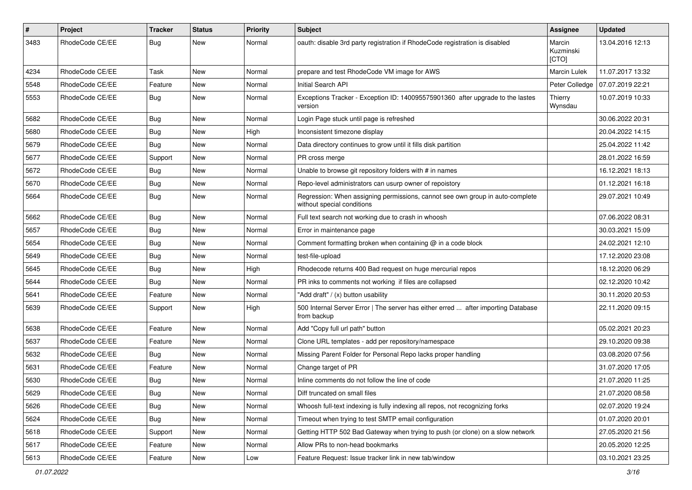| #    | Project         | <b>Tracker</b> | <b>Status</b> | <b>Priority</b> | <b>Subject</b>                                                                                              | Assignee                     | <b>Updated</b>   |
|------|-----------------|----------------|---------------|-----------------|-------------------------------------------------------------------------------------------------------------|------------------------------|------------------|
| 3483 | RhodeCode CE/EE | Bug            | <b>New</b>    | Normal          | oauth: disable 3rd party registration if RhodeCode registration is disabled                                 | Marcin<br>Kuzminski<br>[CTO] | 13.04.2016 12:13 |
| 4234 | RhodeCode CE/EE | Task           | New           | Normal          | prepare and test RhodeCode VM image for AWS                                                                 | <b>Marcin Lulek</b>          | 11.07.2017 13:32 |
| 5548 | RhodeCode CE/EE | Feature        | <b>New</b>    | Normal          | Initial Search API                                                                                          | Peter Colledge               | 07.07.2019 22:21 |
| 5553 | RhodeCode CE/EE | <b>Bug</b>     | New           | Normal          | Exceptions Tracker - Exception ID: 140095575901360 after upgrade to the lastes<br>version                   | Thierry<br>Wynsdau           | 10.07.2019 10:33 |
| 5682 | RhodeCode CE/EE | Bug            | New           | Normal          | Login Page stuck until page is refreshed                                                                    |                              | 30.06.2022 20:31 |
| 5680 | RhodeCode CE/EE | Bug            | New           | High            | Inconsistent timezone display                                                                               |                              | 20.04.2022 14:15 |
| 5679 | RhodeCode CE/EE | Bug            | New           | Normal          | Data directory continues to grow until it fills disk partition                                              |                              | 25.04.2022 11:42 |
| 5677 | RhodeCode CE/EE | Support        | New           | Normal          | PR cross merge                                                                                              |                              | 28.01.2022 16:59 |
| 5672 | RhodeCode CE/EE | Bug            | New           | Normal          | Unable to browse git repository folders with # in names                                                     |                              | 16.12.2021 18:13 |
| 5670 | RhodeCode CE/EE | Bug            | New           | Normal          | Repo-level administrators can usurp owner of repoistory                                                     |                              | 01.12.2021 16:18 |
| 5664 | RhodeCode CE/EE | <b>Bug</b>     | New           | Normal          | Regression: When assigning permissions, cannot see own group in auto-complete<br>without special conditions |                              | 29.07.2021 10:49 |
| 5662 | RhodeCode CE/EE | Bug            | New           | Normal          | Full text search not working due to crash in whoosh                                                         |                              | 07.06.2022 08:31 |
| 5657 | RhodeCode CE/EE | Bug            | New           | Normal          | Error in maintenance page                                                                                   |                              | 30.03.2021 15:09 |
| 5654 | RhodeCode CE/EE | Bug            | <b>New</b>    | Normal          | Comment formatting broken when containing @ in a code block                                                 |                              | 24.02.2021 12:10 |
| 5649 | RhodeCode CE/EE | Bug            | New           | Normal          | test-file-upload                                                                                            |                              | 17.12.2020 23:08 |
| 5645 | RhodeCode CE/EE | <b>Bug</b>     | New           | High            | Rhodecode returns 400 Bad request on huge mercurial repos                                                   |                              | 18.12.2020 06:29 |
| 5644 | RhodeCode CE/EE | Bug            | New           | Normal          | PR inks to comments not working if files are collapsed                                                      |                              | 02.12.2020 10:42 |
| 5641 | RhodeCode CE/EE | Feature        | New           | Normal          | "Add draft" / (x) button usability                                                                          |                              | 30.11.2020 20:53 |
| 5639 | RhodeCode CE/EE | Support        | New           | High            | 500 Internal Server Error   The server has either erred  after importing Database<br>from backup            |                              | 22.11.2020 09:15 |
| 5638 | RhodeCode CE/EE | Feature        | New           | Normal          | Add "Copy full url path" button                                                                             |                              | 05.02.2021 20:23 |
| 5637 | RhodeCode CE/EE | Feature        | <b>New</b>    | Normal          | Clone URL templates - add per repository/namespace                                                          |                              | 29.10.2020 09:38 |
| 5632 | RhodeCode CE/EE | Bug            | New           | Normal          | Missing Parent Folder for Personal Repo lacks proper handling                                               |                              | 03.08.2020 07:56 |
| 5631 | RhodeCode CE/EE | Feature        | New           | Normal          | Change target of PR                                                                                         |                              | 31.07.2020 17:05 |
| 5630 | RhodeCode CE/EE | <b>Bug</b>     | New           | Normal          | Inline comments do not follow the line of code                                                              |                              | 21.07.2020 11:25 |
| 5629 | RhodeCode CE/EE | <b>Bug</b>     | New           | Normal          | Diff truncated on small files                                                                               |                              | 21.07.2020 08:58 |
| 5626 | RhodeCode CE/EE | <b>Bug</b>     | New           | Normal          | Whoosh full-text indexing is fully indexing all repos, not recognizing forks                                |                              | 02.07.2020 19:24 |
| 5624 | RhodeCode CE/EE | Bug            | New           | Normal          | Timeout when trying to test SMTP email configuration                                                        |                              | 01.07.2020 20:01 |
| 5618 | RhodeCode CE/EE | Support        | New           | Normal          | Getting HTTP 502 Bad Gateway when trying to push (or clone) on a slow network                               |                              | 27.05.2020 21:56 |
| 5617 | RhodeCode CE/EE | Feature        | New           | Normal          | Allow PRs to non-head bookmarks                                                                             |                              | 20.05.2020 12:25 |
| 5613 | RhodeCode CE/EE | Feature        | New           | Low             | Feature Request: Issue tracker link in new tab/window                                                       |                              | 03.10.2021 23:25 |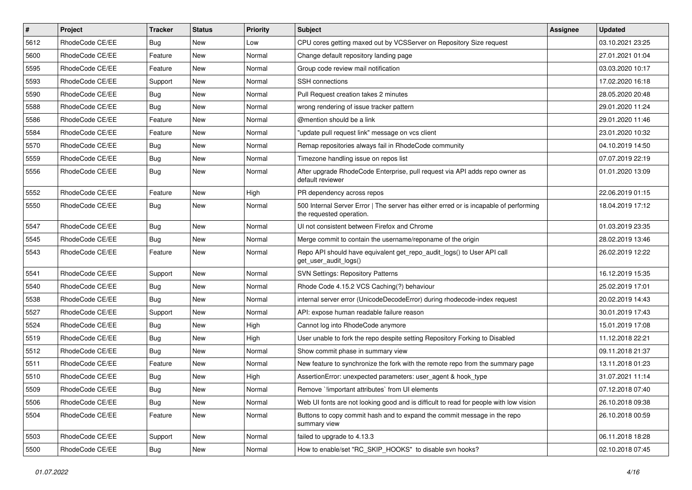| $\pmb{\#}$ | <b>Project</b>  | <b>Tracker</b> | <b>Status</b> | <b>Priority</b> | <b>Subject</b>                                                                                                    | Assignee | <b>Updated</b>   |
|------------|-----------------|----------------|---------------|-----------------|-------------------------------------------------------------------------------------------------------------------|----------|------------------|
| 5612       | RhodeCode CE/EE | Bug            | New           | Low             | CPU cores getting maxed out by VCSServer on Repository Size request                                               |          | 03.10.2021 23:25 |
| 5600       | RhodeCode CE/EE | Feature        | <b>New</b>    | Normal          | Change default repository landing page                                                                            |          | 27.01.2021 01:04 |
| 5595       | RhodeCode CE/EE | Feature        | New           | Normal          | Group code review mail notification                                                                               |          | 03.03.2020 10:17 |
| 5593       | RhodeCode CE/EE | Support        | New           | Normal          | <b>SSH</b> connections                                                                                            |          | 17.02.2020 16:18 |
| 5590       | RhodeCode CE/EE | Bug            | <b>New</b>    | Normal          | Pull Request creation takes 2 minutes                                                                             |          | 28.05.2020 20:48 |
| 5588       | RhodeCode CE/EE | Bug            | New           | Normal          | wrong rendering of issue tracker pattern                                                                          |          | 29.01.2020 11:24 |
| 5586       | RhodeCode CE/EE | Feature        | New           | Normal          | @mention should be a link                                                                                         |          | 29.01.2020 11:46 |
| 5584       | RhodeCode CE/EE | Feature        | New           | Normal          | "update pull request link" message on vcs client                                                                  |          | 23.01.2020 10:32 |
| 5570       | RhodeCode CE/EE | Bug            | New           | Normal          | Remap repositories always fail in RhodeCode community                                                             |          | 04.10.2019 14:50 |
| 5559       | RhodeCode CE/EE | Bug            | <b>New</b>    | Normal          | Timezone handling issue on repos list                                                                             |          | 07.07.2019 22:19 |
| 5556       | RhodeCode CE/EE | Bug            | New           | Normal          | After upgrade RhodeCode Enterprise, pull request via API adds repo owner as<br>default reviewer                   |          | 01.01.2020 13:09 |
| 5552       | RhodeCode CE/EE | Feature        | <b>New</b>    | High            | PR dependency across repos                                                                                        |          | 22.06.2019 01:15 |
| 5550       | RhodeCode CE/EE | <b>Bug</b>     | New           | Normal          | 500 Internal Server Error   The server has either erred or is incapable of performing<br>the requested operation. |          | 18.04.2019 17:12 |
| 5547       | RhodeCode CE/EE | Bug            | New           | Normal          | UI not consistent between Firefox and Chrome                                                                      |          | 01.03.2019 23:35 |
| 5545       | RhodeCode CE/EE | Bug            | New           | Normal          | Merge commit to contain the username/reponame of the origin                                                       |          | 28.02.2019 13:46 |
| 5543       | RhodeCode CE/EE | Feature        | <b>New</b>    | Normal          | Repo API should have equivalent get_repo_audit_logs() to User API call<br>get_user_audit_logs()                   |          | 26.02.2019 12:22 |
| 5541       | RhodeCode CE/EE | Support        | New           | Normal          | <b>SVN Settings: Repository Patterns</b>                                                                          |          | 16.12.2019 15:35 |
| 5540       | RhodeCode CE/EE | Bug            | New           | Normal          | Rhode Code 4.15.2 VCS Caching(?) behaviour                                                                        |          | 25.02.2019 17:01 |
| 5538       | RhodeCode CE/EE | Bug            | <b>New</b>    | Normal          | internal server error (UnicodeDecodeError) during rhodecode-index request                                         |          | 20.02.2019 14:43 |
| 5527       | RhodeCode CE/EE | Support        | New           | Normal          | API: expose human readable failure reason                                                                         |          | 30.01.2019 17:43 |
| 5524       | RhodeCode CE/EE | Bug            | New           | High            | Cannot log into RhodeCode anymore                                                                                 |          | 15.01.2019 17:08 |
| 5519       | RhodeCode CE/EE | Bug            | New           | High            | User unable to fork the repo despite setting Repository Forking to Disabled                                       |          | 11.12.2018 22:21 |
| 5512       | RhodeCode CE/EE | Bug            | <b>New</b>    | Normal          | Show commit phase in summary view                                                                                 |          | 09.11.2018 21:37 |
| 5511       | RhodeCode CE/EE | Feature        | New           | Normal          | New feature to synchronize the fork with the remote repo from the summary page                                    |          | 13.11.2018 01:23 |
| 5510       | RhodeCode CE/EE | Bug            | New           | High            | AssertionError: unexpected parameters: user_agent & hook_type                                                     |          | 31.07.2021 11:14 |
| 5509       | RhodeCode CE/EE | Bug            | New           | Normal          | Remove `!important attributes` from UI elements                                                                   |          | 07.12.2018 07:40 |
| 5506       | RhodeCode CE/EE | <b>Bug</b>     | New           | Normal          | Web UI fonts are not looking good and is difficult to read for people with low vision                             |          | 26.10.2018 09:38 |
| 5504       | RhodeCode CE/EE | Feature        | New           | Normal          | Buttons to copy commit hash and to expand the commit message in the repo<br>summary view                          |          | 26.10.2018 00:59 |
| 5503       | RhodeCode CE/EE | Support        | New           | Normal          | failed to upgrade to 4.13.3                                                                                       |          | 06.11.2018 18:28 |
| 5500       | RhodeCode CE/EE | <b>Bug</b>     | New           | Normal          | How to enable/set "RC_SKIP_HOOKS" to disable svn hooks?                                                           |          | 02.10.2018 07:45 |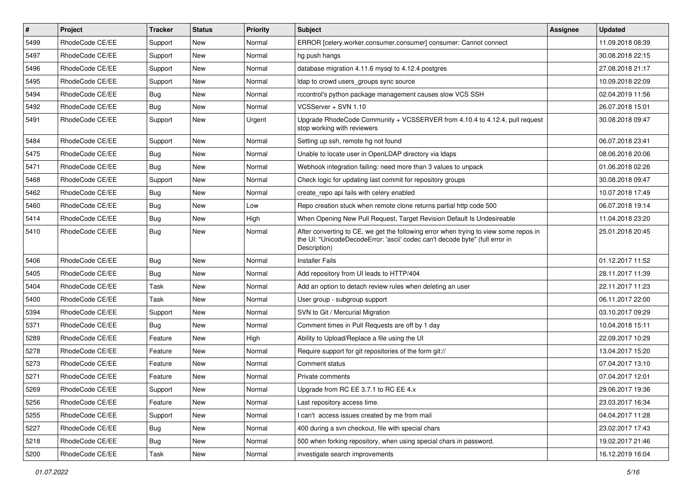| $\vert$ # | Project         | Tracker    | <b>Status</b> | <b>Priority</b> | <b>Subject</b>                                                                                                                                                                       | Assignee | <b>Updated</b>   |
|-----------|-----------------|------------|---------------|-----------------|--------------------------------------------------------------------------------------------------------------------------------------------------------------------------------------|----------|------------------|
| 5499      | RhodeCode CE/EE | Support    | New           | Normal          | ERROR [celery.worker.consumer.consumer] consumer: Cannot connect                                                                                                                     |          | 11.09.2018 08:39 |
| 5497      | RhodeCode CE/EE | Support    | <b>New</b>    | Normal          | hg push hangs                                                                                                                                                                        |          | 30.08.2018 22:15 |
| 5496      | RhodeCode CE/EE | Support    | New           | Normal          | database migration 4.11.6 mysql to 4.12.4 postgres                                                                                                                                   |          | 27.08.2018 21:17 |
| 5495      | RhodeCode CE/EE | Support    | New           | Normal          | Idap to crowd users_groups sync source                                                                                                                                               |          | 10.09.2018 22:09 |
| 5494      | RhodeCode CE/EE | <b>Bug</b> | New           | Normal          | rccontrol's python package management causes slow VCS SSH                                                                                                                            |          | 02.04.2019 11:56 |
| 5492      | RhodeCode CE/EE | <b>Bug</b> | New           | Normal          | VCSServer + SVN 1.10                                                                                                                                                                 |          | 26.07.2018 15:01 |
| 5491      | RhodeCode CE/EE | Support    | New           | Urgent          | Upgrade RhodeCode Community + VCSSERVER from 4.10.4 to 4.12.4, pull request<br>stop working with reviewers                                                                           |          | 30.08.2018 09:47 |
| 5484      | RhodeCode CE/EE | Support    | New           | Normal          | Setting up ssh, remote hg not found                                                                                                                                                  |          | 06.07.2018 23:41 |
| 5475      | RhodeCode CE/EE | Bug        | New           | Normal          | Unable to locate user in OpenLDAP directory via Idaps                                                                                                                                |          | 08.06.2018 20:06 |
| 5471      | RhodeCode CE/EE | Bug        | New           | Normal          | Webhook integration failing: need more than 3 values to unpack                                                                                                                       |          | 01.06.2018 02:26 |
| 5468      | RhodeCode CE/EE | Support    | New           | Normal          | Check logic for updating last commit for repository groups                                                                                                                           |          | 30.08.2018 09:47 |
| 5462      | RhodeCode CE/EE | <b>Bug</b> | New           | Normal          | create repo api fails with celery enabled                                                                                                                                            |          | 10.07.2018 17:49 |
| 5460      | RhodeCode CE/EE | <b>Bug</b> | New           | Low             | Repo creation stuck when remote clone returns partial http code 500                                                                                                                  |          | 06.07.2018 19:14 |
| 5414      | RhodeCode CE/EE | <b>Bug</b> | New           | High            | When Opening New Pull Request, Target Revision Default Is Undesireable                                                                                                               |          | 11.04.2018 23:20 |
| 5410      | RhodeCode CE/EE | Bug        | New           | Normal          | After converting to CE, we get the following error when trying to view some repos in<br>the UI: "UnicodeDecodeError: 'ascii' codec can't decode byte" (full error in<br>Description) |          | 25.01.2018 20:45 |
| 5406      | RhodeCode CE/EE | <b>Bug</b> | New           | Normal          | <b>Installer Fails</b>                                                                                                                                                               |          | 01.12.2017 11:52 |
| 5405      | RhodeCode CE/EE | <b>Bug</b> | New           | Normal          | Add repository from UI leads to HTTP/404                                                                                                                                             |          | 28.11.2017 11:39 |
| 5404      | RhodeCode CE/EE | Task       | New           | Normal          | Add an option to detach review rules when deleting an user                                                                                                                           |          | 22.11.2017 11:23 |
| 5400      | RhodeCode CE/EE | Task       | New           | Normal          | User group - subgroup support                                                                                                                                                        |          | 06.11.2017 22:00 |
| 5394      | RhodeCode CE/EE | Support    | New           | Normal          | SVN to Git / Mercurial Migration                                                                                                                                                     |          | 03.10.2017 09:29 |
| 5371      | RhodeCode CE/EE | Bug        | New           | Normal          | Comment times in Pull Requests are off by 1 day                                                                                                                                      |          | 10.04.2018 15:11 |
| 5289      | RhodeCode CE/EE | Feature    | New           | High            | Ability to Upload/Replace a file using the UI                                                                                                                                        |          | 22.09.2017 10:29 |
| 5278      | RhodeCode CE/EE | Feature    | New           | Normal          | Require support for git repositories of the form git://                                                                                                                              |          | 13.04.2017 15:20 |
| 5273      | RhodeCode CE/EE | Feature    | New           | Normal          | Comment status                                                                                                                                                                       |          | 07.04.2017 13:10 |
| 5271      | RhodeCode CE/EE | Feature    | New           | Normal          | Private comments                                                                                                                                                                     |          | 07.04.2017 12:01 |
| 5269      | RhodeCode CE/EE | Support    | New           | Normal          | Upgrade from RC EE 3.7.1 to RC EE 4.x                                                                                                                                                |          | 29.06.2017 19:36 |
| 5256      | RhodeCode CE/EE | Feature    | New           | Normal          | Last repository access time.                                                                                                                                                         |          | 23.03.2017 16:34 |
| 5255      | RhodeCode CE/EE | Support    | New           | Normal          | I can't access issues created by me from mail                                                                                                                                        |          | 04.04.2017 11:28 |
| 5227      | RhodeCode CE/EE | <b>Bug</b> | New           | Normal          | 400 during a svn checkout, file with special chars                                                                                                                                   |          | 23.02.2017 17:43 |
| 5218      | RhodeCode CE/EE | Bug        | New           | Normal          | 500 when forking repository, when using special chars in password.                                                                                                                   |          | 19.02.2017 21:46 |
| 5200      | RhodeCode CE/EE | Task       | New           | Normal          | investigate search improvements                                                                                                                                                      |          | 16.12.2019 16:04 |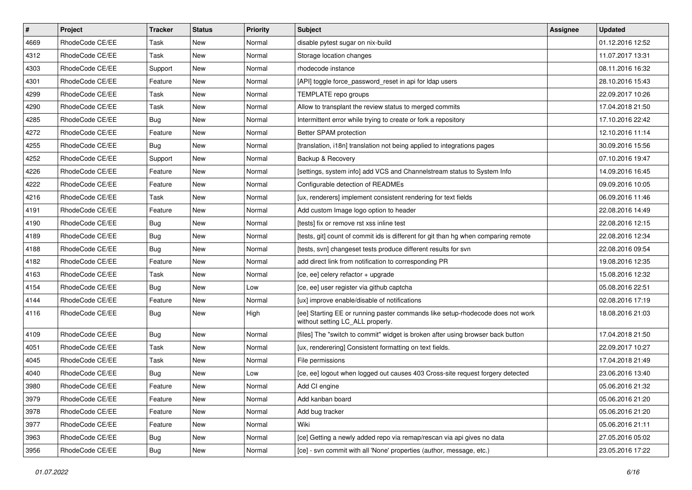| $\sharp$ | Project         | <b>Tracker</b> | <b>Status</b> | Priority | <b>Subject</b>                                                                                                     | <b>Assignee</b> | <b>Updated</b>   |
|----------|-----------------|----------------|---------------|----------|--------------------------------------------------------------------------------------------------------------------|-----------------|------------------|
| 4669     | RhodeCode CE/EE | Task           | New           | Normal   | disable pytest sugar on nix-build                                                                                  |                 | 01.12.2016 12:52 |
| 4312     | RhodeCode CE/EE | Task           | <b>New</b>    | Normal   | Storage location changes                                                                                           |                 | 11.07.2017 13:31 |
| 4303     | RhodeCode CE/EE | Support        | New           | Normal   | rhodecode instance                                                                                                 |                 | 08.11.2016 16:32 |
| 4301     | RhodeCode CE/EE | Feature        | <b>New</b>    | Normal   | [API] toggle force password reset in api for Idap users                                                            |                 | 28.10.2016 15:43 |
| 4299     | RhodeCode CE/EE | Task           | <b>New</b>    | Normal   | TEMPLATE repo groups                                                                                               |                 | 22.09.2017 10:26 |
| 4290     | RhodeCode CE/EE | Task           | New           | Normal   | Allow to transplant the review status to merged commits                                                            |                 | 17.04.2018 21:50 |
| 4285     | RhodeCode CE/EE | <b>Bug</b>     | New           | Normal   | Intermittent error while trying to create or fork a repository                                                     |                 | 17.10.2016 22:42 |
| 4272     | RhodeCode CE/EE | Feature        | <b>New</b>    | Normal   | Better SPAM protection                                                                                             |                 | 12.10.2016 11:14 |
| 4255     | RhodeCode CE/EE | Bug            | <b>New</b>    | Normal   | [translation, i18n] translation not being applied to integrations pages                                            |                 | 30.09.2016 15:56 |
| 4252     | RhodeCode CE/EE | Support        | <b>New</b>    | Normal   | Backup & Recovery                                                                                                  |                 | 07.10.2016 19:47 |
| 4226     | RhodeCode CE/EE | Feature        | New           | Normal   | [settings, system info] add VCS and Channelstream status to System Info                                            |                 | 14.09.2016 16:45 |
| 4222     | RhodeCode CE/EE | Feature        | New           | Normal   | Configurable detection of READMEs                                                                                  |                 | 09.09.2016 10:05 |
| 4216     | RhodeCode CE/EE | Task           | <b>New</b>    | Normal   | [ux, renderers] implement consistent rendering for text fields                                                     |                 | 06.09.2016 11:46 |
| 4191     | RhodeCode CE/EE | Feature        | New           | Normal   | Add custom Image logo option to header                                                                             |                 | 22.08.2016 14:49 |
| 4190     | RhodeCode CE/EE | <b>Bug</b>     | New           | Normal   | [tests] fix or remove rst xss inline test                                                                          |                 | 22.08.2016 12:15 |
| 4189     | RhodeCode CE/EE | <b>Bug</b>     | New           | Normal   | Itests, git] count of commit ids is different for git than hg when comparing remote                                |                 | 22.08.2016 12:34 |
| 4188     | RhodeCode CE/EE | Bug            | New           | Normal   | [tests, svn] changeset tests produce different results for svn                                                     |                 | 22.08.2016 09:54 |
| 4182     | RhodeCode CE/EE | Feature        | <b>New</b>    | Normal   | add direct link from notification to corresponding PR                                                              |                 | 19.08.2016 12:35 |
| 4163     | RhodeCode CE/EE | Task           | New           | Normal   | [ce, ee] celery refactor + upgrade                                                                                 |                 | 15.08.2016 12:32 |
| 4154     | RhodeCode CE/EE | <b>Bug</b>     | <b>New</b>    | Low      | [ce, ee] user register via github captcha                                                                          |                 | 05.08.2016 22:51 |
| 4144     | RhodeCode CE/EE | Feature        | New           | Normal   | [ux] improve enable/disable of notifications                                                                       |                 | 02.08.2016 17:19 |
| 4116     | RhodeCode CE/EE | <b>Bug</b>     | New           | High     | [ee] Starting EE or running paster commands like setup-rhodecode does not work<br>without setting LC_ALL properly. |                 | 18.08.2016 21:03 |
| 4109     | RhodeCode CE/EE | Bug            | New           | Normal   | [files] The "switch to commit" widget is broken after using browser back button                                    |                 | 17.04.2018 21:50 |
| 4051     | RhodeCode CE/EE | Task           | New           | Normal   | [ux, renderering] Consistent formatting on text fields.                                                            |                 | 22.09.2017 10:27 |
| 4045     | RhodeCode CE/EE | Task           | <b>New</b>    | Normal   | File permissions                                                                                                   |                 | 17.04.2018 21:49 |
| 4040     | RhodeCode CE/EE | <b>Bug</b>     | New           | Low      | [ce, ee] logout when logged out causes 403 Cross-site request forgery detected                                     |                 | 23.06.2016 13:40 |
| 3980     | RhodeCode CE/EE | Feature        | New           | Normal   | Add CI engine                                                                                                      |                 | 05.06.2016 21:32 |
| 3979     | RhodeCode CE/EE | Feature        | New           | Normal   | Add kanban board                                                                                                   |                 | 05.06.2016 21:20 |
| 3978     | RhodeCode CE/EE | Feature        | New           | Normal   | Add bug tracker                                                                                                    |                 | 05.06.2016 21:20 |
| 3977     | RhodeCode CE/EE | Feature        | New           | Normal   | Wiki                                                                                                               |                 | 05.06.2016 21:11 |
| 3963     | RhodeCode CE/EE | <b>Bug</b>     | New           | Normal   | [ce] Getting a newly added repo via remap/rescan via api gives no data                                             |                 | 27.05.2016 05:02 |
| 3956     | RhodeCode CE/EE | Bug            | New           | Normal   | [ce] - svn commit with all 'None' properties (author, message, etc.)                                               |                 | 23.05.2016 17:22 |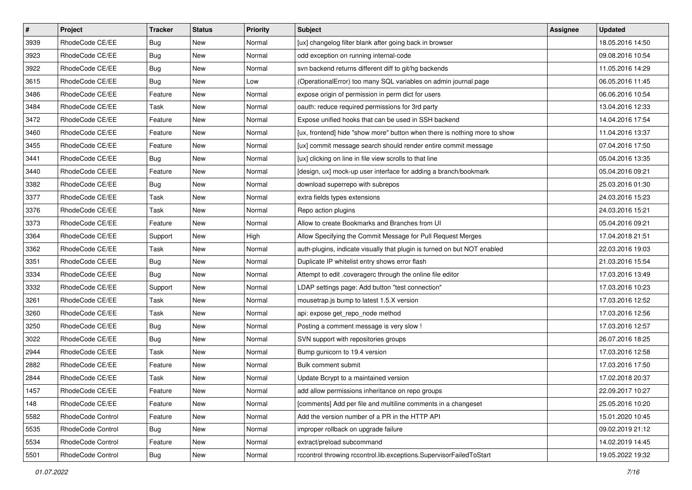| $\vert$ # | Project           | Tracker    | <b>Status</b> | <b>Priority</b> | <b>Subject</b>                                                            | <b>Assignee</b> | <b>Updated</b>   |
|-----------|-------------------|------------|---------------|-----------------|---------------------------------------------------------------------------|-----------------|------------------|
| 3939      | RhodeCode CE/EE   | <b>Bug</b> | New           | Normal          | [ux] changelog filter blank after going back in browser                   |                 | 18.05.2016 14:50 |
| 3923      | RhodeCode CE/EE   | Bug        | New           | Normal          | odd exception on running internal-code                                    |                 | 09.08.2016 10:54 |
| 3922      | RhodeCode CE/EE   | <b>Bug</b> | New           | Normal          | svn backend returns different diff to git/hg backends                     |                 | 11.05.2016 14:29 |
| 3615      | RhodeCode CE/EE   | <b>Bug</b> | New           | Low             | (OperationalError) too many SQL variables on admin journal page           |                 | 06.05.2016 11:45 |
| 3486      | RhodeCode CE/EE   | Feature    | New           | Normal          | expose origin of permission in perm dict for users                        |                 | 06.06.2016 10:54 |
| 3484      | RhodeCode CE/EE   | Task       | New           | Normal          | oauth: reduce required permissions for 3rd party                          |                 | 13.04.2016 12:33 |
| 3472      | RhodeCode CE/EE   | Feature    | New           | Normal          | Expose unified hooks that can be used in SSH backend                      |                 | 14.04.2016 17:54 |
| 3460      | RhodeCode CE/EE   | Feature    | New           | Normal          | [ux, frontend] hide "show more" button when there is nothing more to show |                 | 11.04.2016 13:37 |
| 3455      | RhodeCode CE/EE   | Feature    | New           | Normal          | [ux] commit message search should render entire commit message            |                 | 07.04.2016 17:50 |
| 3441      | RhodeCode CE/EE   | <b>Bug</b> | New           | Normal          | [ux] clicking on line in file view scrolls to that line                   |                 | 05.04.2016 13:35 |
| 3440      | RhodeCode CE/EE   | Feature    | New           | Normal          | [design, ux] mock-up user interface for adding a branch/bookmark          |                 | 05.04.2016 09:21 |
| 3382      | RhodeCode CE/EE   | Bug        | New           | Normal          | download superrepo with subrepos                                          |                 | 25.03.2016 01:30 |
| 3377      | RhodeCode CE/EE   | Task       | New           | Normal          | extra fields types extensions                                             |                 | 24.03.2016 15:23 |
| 3376      | RhodeCode CE/EE   | Task       | New           | Normal          | Repo action plugins                                                       |                 | 24.03.2016 15:21 |
| 3373      | RhodeCode CE/EE   | Feature    | New           | Normal          | Allow to create Bookmarks and Branches from UI                            |                 | 05.04.2016 09:21 |
| 3364      | RhodeCode CE/EE   | Support    | New           | High            | Allow Specifying the Commit Message for Pull Request Merges               |                 | 17.04.2018 21:51 |
| 3362      | RhodeCode CE/EE   | Task       | New           | Normal          | auth-plugins, indicate visually that plugin is turned on but NOT enabled  |                 | 22.03.2016 19:03 |
| 3351      | RhodeCode CE/EE   | <b>Bug</b> | New           | Normal          | Duplicate IP whitelist entry shows error flash                            |                 | 21.03.2016 15:54 |
| 3334      | RhodeCode CE/EE   | <b>Bug</b> | New           | Normal          | Attempt to edit .coveragerc through the online file editor                |                 | 17.03.2016 13:49 |
| 3332      | RhodeCode CE/EE   | Support    | New           | Normal          | LDAP settings page: Add button "test connection"                          |                 | 17.03.2016 10:23 |
| 3261      | RhodeCode CE/EE   | Task       | New           | Normal          | mousetrap.js bump to latest 1.5.X version                                 |                 | 17.03.2016 12:52 |
| 3260      | RhodeCode CE/EE   | Task       | New           | Normal          | api: expose get_repo_node method                                          |                 | 17.03.2016 12:56 |
| 3250      | RhodeCode CE/EE   | Bug        | New           | Normal          | Posting a comment message is very slow !                                  |                 | 17.03.2016 12:57 |
| 3022      | RhodeCode CE/EE   | Bug        | New           | Normal          | SVN support with repositories groups                                      |                 | 26.07.2016 18:25 |
| 2944      | RhodeCode CE/EE   | Task       | New           | Normal          | Bump gunicorn to 19.4 version                                             |                 | 17.03.2016 12:58 |
| 2882      | RhodeCode CE/EE   | Feature    | New           | Normal          | Bulk comment submit                                                       |                 | 17.03.2016 17:50 |
| 2844      | RhodeCode CE/EE   | Task       | New           | Normal          | Update Bcrypt to a maintained version                                     |                 | 17.02.2018 20:37 |
| 1457      | RhodeCode CE/EE   | Feature    | New           | Normal          | add allow permissions inheritance on repo groups                          |                 | 22.09.2017 10:27 |
| 148       | RhodeCode CE/EE   | Feature    | New           | Normal          | [comments] Add per file and multiline comments in a changeset             |                 | 25.05.2016 10:20 |
| 5582      | RhodeCode Control | Feature    | New           | Normal          | Add the version number of a PR in the HTTP API                            |                 | 15.01.2020 10:45 |
| 5535      | RhodeCode Control | <b>Bug</b> | New           | Normal          | improper rollback on upgrade failure                                      |                 | 09.02.2019 21:12 |
| 5534      | RhodeCode Control | Feature    | New           | Normal          | extract/preload subcommand                                                |                 | 14.02.2019 14:45 |
| 5501      | RhodeCode Control | <b>Bug</b> | New           | Normal          | rccontrol throwing rccontrol.lib.exceptions.SupervisorFailedToStart       |                 | 19.05.2022 19:32 |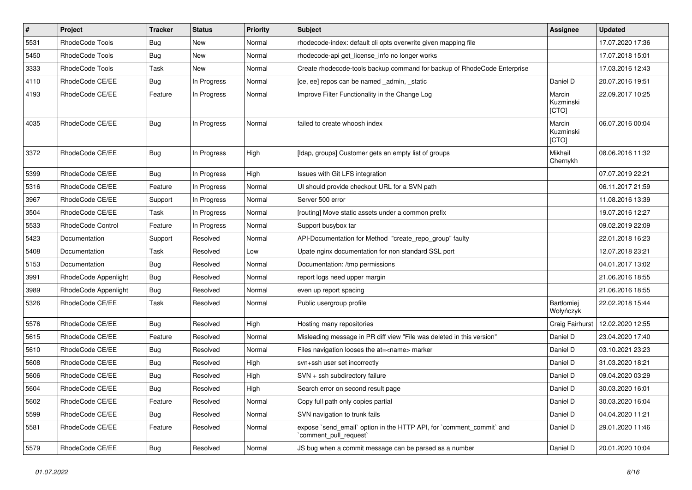| $\sharp$ | Project              | <b>Tracker</b> | <b>Status</b> | <b>Priority</b> | Subject                                                                                        | <b>Assignee</b>              | <b>Updated</b>   |
|----------|----------------------|----------------|---------------|-----------------|------------------------------------------------------------------------------------------------|------------------------------|------------------|
| 5531     | RhodeCode Tools      | <b>Bug</b>     | New           | Normal          | rhodecode-index: default cli opts overwrite given mapping file                                 |                              | 17.07.2020 17:36 |
| 5450     | RhodeCode Tools      | Bug            | <b>New</b>    | Normal          | rhodecode-api get_license_info no longer works                                                 |                              | 17.07.2018 15:01 |
| 3333     | RhodeCode Tools      | Task           | New           | Normal          | Create rhodecode-tools backup command for backup of RhodeCode Enterprise                       |                              | 17.03.2016 12:43 |
| 4110     | RhodeCode CE/EE      | Bug            | In Progress   | Normal          | [ce, ee] repos can be named _admin, _static                                                    | Daniel D                     | 20.07.2016 19:51 |
| 4193     | RhodeCode CE/EE      | Feature        | In Progress   | Normal          | Improve Filter Functionality in the Change Log                                                 | Marcin<br>Kuzminski<br>[CTO] | 22.09.2017 10:25 |
| 4035     | RhodeCode CE/EE      | Bug            | In Progress   | Normal          | failed to create whoosh index                                                                  | Marcin<br>Kuzminski<br>[CTO] | 06.07.2016 00:04 |
| 3372     | RhodeCode CE/EE      | Bug            | In Progress   | High            | [Idap, groups] Customer gets an empty list of groups                                           | Mikhail<br>Chernykh          | 08.06.2016 11:32 |
| 5399     | RhodeCode CE/EE      | Bug            | In Progress   | High            | Issues with Git LFS integration                                                                |                              | 07.07.2019 22:21 |
| 5316     | RhodeCode CE/EE      | Feature        | In Progress   | Normal          | UI should provide checkout URL for a SVN path                                                  |                              | 06.11.2017 21:59 |
| 3967     | RhodeCode CE/EE      | Support        | In Progress   | Normal          | Server 500 error                                                                               |                              | 11.08.2016 13:39 |
| 3504     | RhodeCode CE/EE      | Task           | In Progress   | Normal          | [routing] Move static assets under a common prefix                                             |                              | 19.07.2016 12:27 |
| 5533     | RhodeCode Control    | Feature        | In Progress   | Normal          | Support busybox tar                                                                            |                              | 09.02.2019 22:09 |
| 5423     | Documentation        | Support        | Resolved      | Normal          | API-Documentation for Method "create_repo_group" faulty                                        |                              | 22.01.2018 16:23 |
| 5408     | Documentation        | Task           | Resolved      | Low             | Upate nginx documentation for non standard SSL port                                            |                              | 12.07.2018 23:21 |
| 5153     | Documentation        | Bug            | Resolved      | Normal          | Documentation: /tmp permissions                                                                |                              | 04.01.2017 13:02 |
| 3991     | RhodeCode Appenlight | Bug            | Resolved      | Normal          | report logs need upper margin                                                                  |                              | 21.06.2016 18:55 |
| 3989     | RhodeCode Appenlight | <b>Bug</b>     | Resolved      | Normal          | even up report spacing                                                                         |                              | 21.06.2016 18:55 |
| 5326     | RhodeCode CE/EE      | Task           | Resolved      | Normal          | Public usergroup profile                                                                       | Bartłomiej<br>Wołyńczyk      | 22.02.2018 15:44 |
| 5576     | RhodeCode CE/EE      | Bug            | Resolved      | High            | Hosting many repositories                                                                      | Craig Fairhurst              | 12.02.2020 12:55 |
| 5615     | RhodeCode CE/EE      | Feature        | Resolved      | Normal          | Misleading message in PR diff view "File was deleted in this version"                          | Daniel D                     | 23.04.2020 17:40 |
| 5610     | RhodeCode CE/EE      | Bug            | Resolved      | Normal          | Files navigation looses the at= <name> marker</name>                                           | Daniel D                     | 03.10.2021 23:23 |
| 5608     | RhodeCode CE/EE      | Bug            | Resolved      | High            | svn+ssh user set incorrectly                                                                   | Daniel D                     | 31.03.2020 18:21 |
| 5606     | RhodeCode CE/EE      | <b>Bug</b>     | Resolved      | High            | SVN + ssh subdirectory failure                                                                 | Daniel D                     | 09.04.2020 03:29 |
| 5604     | RhodeCode CE/EE      | Bug            | Resolved      | High            | Search error on second result page                                                             | Daniel D                     | 30.03.2020 16:01 |
| 5602     | RhodeCode CE/EE      | Feature        | Resolved      | Normal          | Copy full path only copies partial                                                             | Daniel D                     | 30.03.2020 16:04 |
| 5599     | RhodeCode CE/EE      | <b>Bug</b>     | Resolved      | Normal          | SVN navigation to trunk fails                                                                  | Daniel D                     | 04.04.2020 11:21 |
| 5581     | RhodeCode CE/EE      | Feature        | Resolved      | Normal          | expose `send_email` option in the HTTP API, for `comment_commit` and<br>`comment_pull_request` | Daniel D                     | 29.01.2020 11:46 |
| 5579     | RhodeCode CE/EE      | Bug            | Resolved      | Normal          | JS bug when a commit message can be parsed as a number                                         | Daniel D                     | 20.01.2020 10:04 |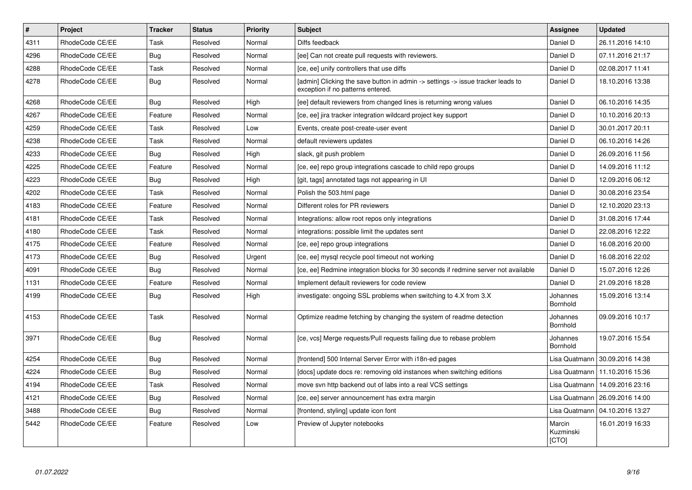| $\vert$ # | <b>Project</b>  | <b>Tracker</b> | <b>Status</b> | Priority | <b>Subject</b>                                                                                                       | <b>Assignee</b>              | <b>Updated</b>                   |
|-----------|-----------------|----------------|---------------|----------|----------------------------------------------------------------------------------------------------------------------|------------------------------|----------------------------------|
| 4311      | RhodeCode CE/EE | Task           | Resolved      | Normal   | Diffs feedback                                                                                                       | Daniel D                     | 26.11.2016 14:10                 |
| 4296      | RhodeCode CE/EE | Bug            | Resolved      | Normal   | [ee] Can not create pull requests with reviewers.                                                                    | Daniel D                     | 07.11.2016 21:17                 |
| 4288      | RhodeCode CE/EE | Task           | Resolved      | Normal   | [ce, ee] unify controllers that use diffs                                                                            | Daniel D                     | 02.08.2017 11:41                 |
| 4278      | RhodeCode CE/EE | Bug            | Resolved      | Normal   | [admin] Clicking the save button in admin -> settings -> issue tracker leads to<br>exception if no patterns entered. | Daniel D                     | 18.10.2016 13:38                 |
| 4268      | RhodeCode CE/EE | <b>Bug</b>     | Resolved      | High     | [ee] default reviewers from changed lines is returning wrong values                                                  | Daniel D                     | 06.10.2016 14:35                 |
| 4267      | RhodeCode CE/EE | Feature        | Resolved      | Normal   | [ce, ee] jira tracker integration wildcard project key support                                                       | Daniel D                     | 10.10.2016 20:13                 |
| 4259      | RhodeCode CE/EE | Task           | Resolved      | Low      | Events, create post-create-user event                                                                                | Daniel D                     | 30.01.2017 20:11                 |
| 4238      | RhodeCode CE/EE | Task           | Resolved      | Normal   | default reviewers updates                                                                                            | Daniel D                     | 06.10.2016 14:26                 |
| 4233      | RhodeCode CE/EE | Bug            | Resolved      | High     | slack, git push problem                                                                                              | Daniel D                     | 26.09.2016 11:56                 |
| 4225      | RhodeCode CE/EE | Feature        | Resolved      | Normal   | [ce, ee] repo group integrations cascade to child repo groups                                                        | Daniel D                     | 14.09.2016 11:12                 |
| 4223      | RhodeCode CE/EE | <b>Bug</b>     | Resolved      | High     | [git, tags] annotated tags not appearing in UI                                                                       | Daniel D                     | 12.09.2016 06:12                 |
| 4202      | RhodeCode CE/EE | Task           | Resolved      | Normal   | Polish the 503.html page                                                                                             | Daniel D                     | 30.08.2016 23:54                 |
| 4183      | RhodeCode CE/EE | Feature        | Resolved      | Normal   | Different roles for PR reviewers                                                                                     | Daniel D                     | 12.10.2020 23:13                 |
| 4181      | RhodeCode CE/EE | Task           | Resolved      | Normal   | Integrations: allow root repos only integrations                                                                     | Daniel D                     | 31.08.2016 17:44                 |
| 4180      | RhodeCode CE/EE | Task           | Resolved      | Normal   | integrations: possible limit the updates sent                                                                        | Daniel D                     | 22.08.2016 12:22                 |
| 4175      | RhodeCode CE/EE | Feature        | Resolved      | Normal   | [ce, ee] repo group integrations                                                                                     | Daniel D                     | 16.08.2016 20:00                 |
| 4173      | RhodeCode CE/EE | <b>Bug</b>     | Resolved      | Urgent   | [ce, ee] mysql recycle pool timeout not working                                                                      | Daniel D                     | 16.08.2016 22:02                 |
| 4091      | RhodeCode CE/EE | Bug            | Resolved      | Normal   | [ce, ee] Redmine integration blocks for 30 seconds if redmine server not available                                   | Daniel D                     | 15.07.2016 12:26                 |
| 1131      | RhodeCode CE/EE | Feature        | Resolved      | Normal   | Implement default reviewers for code review                                                                          | Daniel D                     | 21.09.2016 18:28                 |
| 4199      | RhodeCode CE/EE | Bug            | Resolved      | High     | investigate: ongoing SSL problems when switching to 4.X from 3.X                                                     | Johannes<br>Bornhold         | 15.09.2016 13:14                 |
| 4153      | RhodeCode CE/EE | Task           | Resolved      | Normal   | Optimize readme fetching by changing the system of readme detection                                                  | Johannes<br>Bornhold         | 09.09.2016 10:17                 |
| 3971      | RhodeCode CE/EE | Bug            | Resolved      | Normal   | [ce, vcs] Merge requests/Pull requests failing due to rebase problem                                                 | Johannes<br>Bornhold         | 19.07.2016 15:54                 |
| 4254      | RhodeCode CE/EE | Bug            | Resolved      | Normal   | [frontend] 500 Internal Server Error with i18n-ed pages                                                              | Lisa Quatmann                | 30.09.2016 14:38                 |
| 4224      | RhodeCode CE/EE | Bug            | Resolved      | Normal   | [docs] update docs re: removing old instances when switching editions                                                | Lisa Quatmann                | 11.10.2016 15:36                 |
| 4194      | RhodeCode CE/EE | Task           | Resolved      | Normal   | move svn http backend out of labs into a real VCS settings                                                           | Lisa Quatmann                | 14.09.2016 23:16                 |
| 4121      | RhodeCode CE/EE | <b>Bug</b>     | Resolved      | Normal   | [ce, ee] server announcement has extra margin                                                                        |                              | Lisa Quatmann   26.09.2016 14:00 |
| 3488      | RhodeCode CE/EE | Bug            | Resolved      | Normal   | [frontend, styling] update icon font                                                                                 | Lisa Quatmann                | 04.10.2016 13:27                 |
| 5442      | RhodeCode CE/EE | Feature        | Resolved      | Low      | Preview of Jupyter notebooks                                                                                         | Marcin<br>Kuzminski<br>[CTO] | 16.01.2019 16:33                 |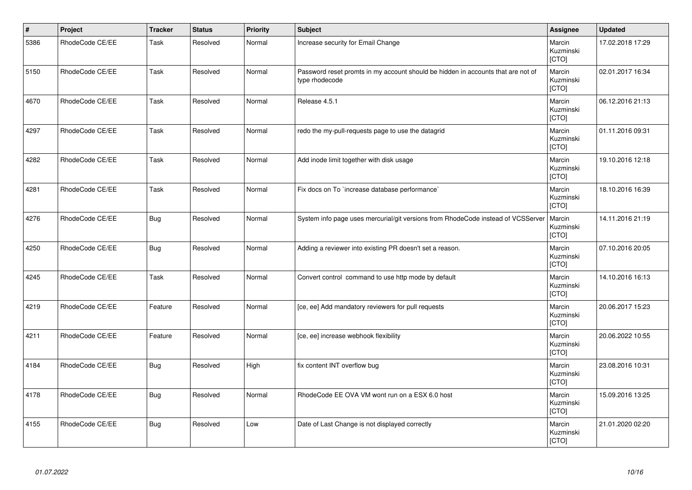| $\vert$ # | Project         | <b>Tracker</b> | <b>Status</b> | <b>Priority</b> | <b>Subject</b>                                                                                     | Assignee                     | <b>Updated</b>   |
|-----------|-----------------|----------------|---------------|-----------------|----------------------------------------------------------------------------------------------------|------------------------------|------------------|
| 5386      | RhodeCode CE/EE | Task           | Resolved      | Normal          | Increase security for Email Change                                                                 | Marcin<br>Kuzminski<br>[CTO] | 17.02.2018 17:29 |
| 5150      | RhodeCode CE/EE | Task           | Resolved      | Normal          | Password reset promts in my account should be hidden in accounts that are not of<br>type rhodecode | Marcin<br>Kuzminski<br>[CTO] | 02.01.2017 16:34 |
| 4670      | RhodeCode CE/EE | Task           | Resolved      | Normal          | Release 4.5.1                                                                                      | Marcin<br>Kuzminski<br>[CTO] | 06.12.2016 21:13 |
| 4297      | RhodeCode CE/EE | Task           | Resolved      | Normal          | redo the my-pull-requests page to use the datagrid                                                 | Marcin<br>Kuzminski<br>[CTO] | 01.11.2016 09:31 |
| 4282      | RhodeCode CE/EE | Task           | Resolved      | Normal          | Add inode limit together with disk usage                                                           | Marcin<br>Kuzminski<br>[CTO] | 19.10.2016 12:18 |
| 4281      | RhodeCode CE/EE | Task           | Resolved      | Normal          | Fix docs on To `increase database performance`                                                     | Marcin<br>Kuzminski<br>[CTO] | 18.10.2016 16:39 |
| 4276      | RhodeCode CE/EE | <b>Bug</b>     | Resolved      | Normal          | System info page uses mercurial/git versions from RhodeCode instead of VCSServer                   | Marcin<br>Kuzminski<br>[CTO] | 14.11.2016 21:19 |
| 4250      | RhodeCode CE/EE | <b>Bug</b>     | Resolved      | Normal          | Adding a reviewer into existing PR doesn't set a reason.                                           | Marcin<br>Kuzminski<br>[CTO] | 07.10.2016 20:05 |
| 4245      | RhodeCode CE/EE | Task           | Resolved      | Normal          | Convert control command to use http mode by default                                                | Marcin<br>Kuzminski<br>[CTO] | 14.10.2016 16:13 |
| 4219      | RhodeCode CE/EE | Feature        | Resolved      | Normal          | [ce, ee] Add mandatory reviewers for pull requests                                                 | Marcin<br>Kuzminski<br>[CTO] | 20.06.2017 15:23 |
| 4211      | RhodeCode CE/EE | Feature        | Resolved      | Normal          | [ce, ee] increase webhook flexibility                                                              | Marcin<br>Kuzminski<br>[CTO] | 20.06.2022 10:55 |
| 4184      | RhodeCode CE/EE | <b>Bug</b>     | Resolved      | High            | fix content INT overflow bug                                                                       | Marcin<br>Kuzminski<br>[CTO] | 23.08.2016 10:31 |
| 4178      | RhodeCode CE/EE | <b>Bug</b>     | Resolved      | Normal          | RhodeCode EE OVA VM wont run on a ESX 6.0 host                                                     | Marcin<br>Kuzminski<br>[CTO] | 15.09.2016 13:25 |
| 4155      | RhodeCode CE/EE | <b>Bug</b>     | Resolved      | Low             | Date of Last Change is not displayed correctly                                                     | Marcin<br>Kuzminski<br>[CTO] | 21.01.2020 02:20 |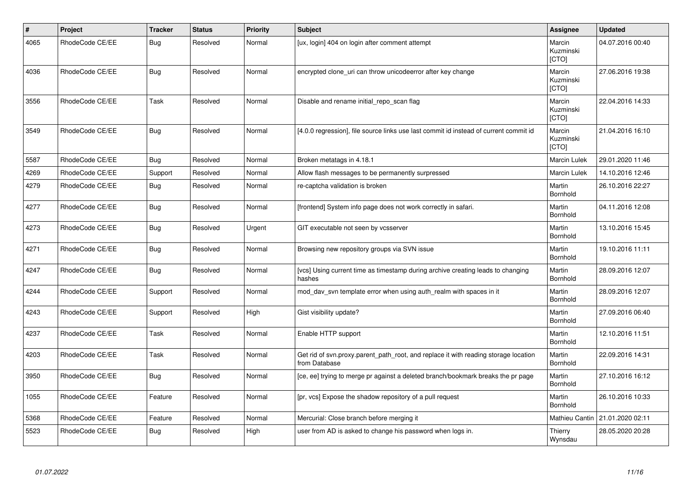| $\vert$ # | <b>Project</b>  | <b>Tracker</b> | <b>Status</b> | <b>Priority</b> | <b>Subject</b>                                                                                       | Assignee                     | <b>Updated</b>   |
|-----------|-----------------|----------------|---------------|-----------------|------------------------------------------------------------------------------------------------------|------------------------------|------------------|
| 4065      | RhodeCode CE/EE | Bug            | Resolved      | Normal          | [ux, login] 404 on login after comment attempt                                                       | Marcin<br>Kuzminski<br>[CTO] | 04.07.2016 00:40 |
| 4036      | RhodeCode CE/EE | <b>Bug</b>     | Resolved      | Normal          | encrypted clone_uri can throw unicodeerror after key change                                          | Marcin<br>Kuzminski<br>[CTO] | 27.06.2016 19:38 |
| 3556      | RhodeCode CE/EE | Task           | Resolved      | Normal          | Disable and rename initial repo scan flag                                                            | Marcin<br>Kuzminski<br>[CTO] | 22.04.2016 14:33 |
| 3549      | RhodeCode CE/EE | Bug            | Resolved      | Normal          | [4.0.0 regression], file source links use last commit id instead of current commit id                | Marcin<br>Kuzminski<br>[CTO] | 21.04.2016 16:10 |
| 5587      | RhodeCode CE/EE | Bug            | Resolved      | Normal          | Broken metatags in 4.18.1                                                                            | Marcin Lulek                 | 29.01.2020 11:46 |
| 4269      | RhodeCode CE/EE | Support        | Resolved      | Normal          | Allow flash messages to be permanently surpressed                                                    | Marcin Lulek                 | 14.10.2016 12:46 |
| 4279      | RhodeCode CE/EE | <b>Bug</b>     | Resolved      | Normal          | re-captcha validation is broken                                                                      | Martin<br>Bornhold           | 26.10.2016 22:27 |
| 4277      | RhodeCode CE/EE | <b>Bug</b>     | Resolved      | Normal          | [frontend] System info page does not work correctly in safari.                                       | Martin<br>Bornhold           | 04.11.2016 12:08 |
| 4273      | RhodeCode CE/EE | Bug            | Resolved      | Urgent          | GIT executable not seen by vcsserver                                                                 | Martin<br>Bornhold           | 13.10.2016 15:45 |
| 4271      | RhodeCode CE/EE | <b>Bug</b>     | Resolved      | Normal          | Browsing new repository groups via SVN issue                                                         | Martin<br>Bornhold           | 19.10.2016 11:11 |
| 4247      | RhodeCode CE/EE | <b>Bug</b>     | Resolved      | Normal          | [vcs] Using current time as timestamp during archive creating leads to changing<br>hashes            | Martin<br><b>Bornhold</b>    | 28.09.2016 12:07 |
| 4244      | RhodeCode CE/EE | Support        | Resolved      | Normal          | mod_dav_svn template error when using auth_realm with spaces in it                                   | Martin<br>Bornhold           | 28.09.2016 12:07 |
| 4243      | RhodeCode CE/EE | Support        | Resolved      | High            | Gist visibility update?                                                                              | Martin<br>Bornhold           | 27.09.2016 06:40 |
| 4237      | RhodeCode CE/EE | Task           | Resolved      | Normal          | Enable HTTP support                                                                                  | Martin<br><b>Bornhold</b>    | 12.10.2016 11:51 |
| 4203      | RhodeCode CE/EE | Task           | Resolved      | Normal          | Get rid of svn.proxy.parent path root, and replace it with reading storage location<br>from Database | Martin<br><b>Bornhold</b>    | 22.09.2016 14:31 |
| 3950      | RhodeCode CE/EE | <b>Bug</b>     | Resolved      | Normal          | [ce, ee] trying to merge pr against a deleted branch/bookmark breaks the pr page                     | Martin<br>Bornhold           | 27.10.2016 16:12 |
| 1055      | RhodeCode CE/EE | Feature        | Resolved      | Normal          | [pr, vcs] Expose the shadow repository of a pull request                                             | Martin<br>Bornhold           | 26.10.2016 10:33 |
| 5368      | RhodeCode CE/EE | Feature        | Resolved      | Normal          | Mercurial: Close branch before merging it                                                            | Mathieu Cantin               | 21.01.2020 02:11 |
| 5523      | RhodeCode CE/EE | Bug            | Resolved      | High            | user from AD is asked to change his password when logs in.                                           | Thierry<br>Wynsdau           | 28.05.2020 20:28 |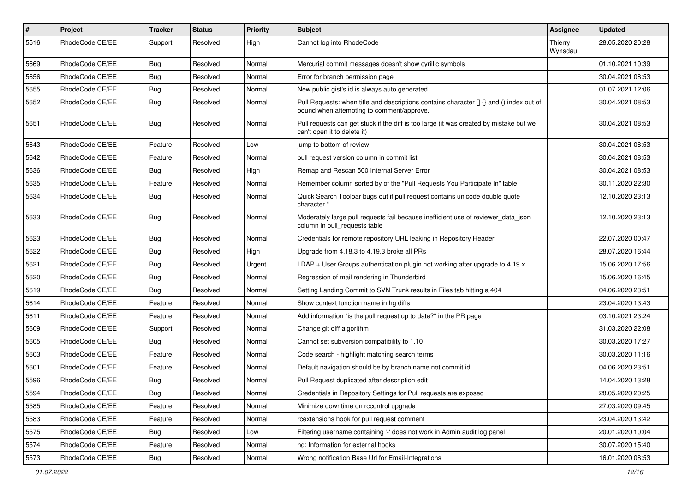| $\sharp$ | Project         | Tracker    | <b>Status</b> | <b>Priority</b> | <b>Subject</b>                                                                                                                       | Assignee           | <b>Updated</b>   |
|----------|-----------------|------------|---------------|-----------------|--------------------------------------------------------------------------------------------------------------------------------------|--------------------|------------------|
| 5516     | RhodeCode CE/EE | Support    | Resolved      | High            | Cannot log into RhodeCode                                                                                                            | Thierry<br>Wynsdau | 28.05.2020 20:28 |
| 5669     | RhodeCode CE/EE | Bug        | Resolved      | Normal          | Mercurial commit messages doesn't show cyrillic symbols                                                                              |                    | 01.10.2021 10:39 |
| 5656     | RhodeCode CE/EE | <b>Bug</b> | Resolved      | Normal          | Error for branch permission page                                                                                                     |                    | 30.04.2021 08:53 |
| 5655     | RhodeCode CE/EE | Bug        | Resolved      | Normal          | New public gist's id is always auto generated                                                                                        |                    | 01.07.2021 12:06 |
| 5652     | RhodeCode CE/EE | <b>Bug</b> | Resolved      | Normal          | Pull Requests: when title and descriptions contains character [] {} and () index out of<br>bound when attempting to comment/approve. |                    | 30.04.2021 08:53 |
| 5651     | RhodeCode CE/EE | Bug        | Resolved      | Normal          | Pull requests can get stuck if the diff is too large (it was created by mistake but we<br>can't open it to delete it)                |                    | 30.04.2021 08:53 |
| 5643     | RhodeCode CE/EE | Feature    | Resolved      | Low             | jump to bottom of review                                                                                                             |                    | 30.04.2021 08:53 |
| 5642     | RhodeCode CE/EE | Feature    | Resolved      | Normal          | pull request version column in commit list                                                                                           |                    | 30.04.2021 08:53 |
| 5636     | RhodeCode CE/EE | Bug        | Resolved      | High            | Remap and Rescan 500 Internal Server Error                                                                                           |                    | 30.04.2021 08:53 |
| 5635     | RhodeCode CE/EE | Feature    | Resolved      | Normal          | Remember column sorted by of the "Pull Requests You Participate In" table                                                            |                    | 30.11.2020 22:30 |
| 5634     | RhodeCode CE/EE | <b>Bug</b> | Resolved      | Normal          | Quick Search Toolbar bugs out if pull request contains unicode double quote<br>character '                                           |                    | 12.10.2020 23:13 |
| 5633     | RhodeCode CE/EE | Bug        | Resolved      | Normal          | Moderately large pull requests fail because inefficient use of reviewer_data_json<br>column in pull requests table                   |                    | 12.10.2020 23:13 |
| 5623     | RhodeCode CE/EE | <b>Bug</b> | Resolved      | Normal          | Credentials for remote repository URL leaking in Repository Header                                                                   |                    | 22.07.2020 00:47 |
| 5622     | RhodeCode CE/EE | Bug        | Resolved      | High            | Upgrade from 4.18.3 to 4.19.3 broke all PRs                                                                                          |                    | 28.07.2020 16:44 |
| 5621     | RhodeCode CE/EE | <b>Bug</b> | Resolved      | Urgent          | LDAP + User Groups authentication plugin not working after upgrade to $4.19.x$                                                       |                    | 15.06.2020 17:56 |
| 5620     | RhodeCode CE/EE | Bug        | Resolved      | Normal          | Regression of mail rendering in Thunderbird                                                                                          |                    | 15.06.2020 16:45 |
| 5619     | RhodeCode CE/EE | <b>Bug</b> | Resolved      | Normal          | Setting Landing Commit to SVN Trunk results in Files tab hitting a 404                                                               |                    | 04.06.2020 23:51 |
| 5614     | RhodeCode CE/EE | Feature    | Resolved      | Normal          | Show context function name in hg diffs                                                                                               |                    | 23.04.2020 13:43 |
| 5611     | RhodeCode CE/EE | Feature    | Resolved      | Normal          | Add information "is the pull request up to date?" in the PR page                                                                     |                    | 03.10.2021 23:24 |
| 5609     | RhodeCode CE/EE | Support    | Resolved      | Normal          | Change git diff algorithm                                                                                                            |                    | 31.03.2020 22:08 |
| 5605     | RhodeCode CE/EE | Bug        | Resolved      | Normal          | Cannot set subversion compatibility to 1.10                                                                                          |                    | 30.03.2020 17:27 |
| 5603     | RhodeCode CE/EE | Feature    | Resolved      | Normal          | Code search - highlight matching search terms                                                                                        |                    | 30.03.2020 11:16 |
| 5601     | RhodeCode CE/EE | Feature    | Resolved      | Normal          | Default navigation should be by branch name not commit id                                                                            |                    | 04.06.2020 23:51 |
| 5596     | RhodeCode CE/EE | <b>Bug</b> | Resolved      | Normal          | Pull Request duplicated after description edit                                                                                       |                    | 14.04.2020 13:28 |
| 5594     | RhodeCode CE/EE | <b>Bug</b> | Resolved      | Normal          | Credentials in Repository Settings for Pull requests are exposed                                                                     |                    | 28.05.2020 20:25 |
| 5585     | RhodeCode CE/EE | Feature    | Resolved      | Normal          | Minimize downtime on rccontrol upgrade                                                                                               |                    | 27.03.2020 09:45 |
| 5583     | RhodeCode CE/EE | Feature    | Resolved      | Normal          | rcextensions hook for pull request comment                                                                                           |                    | 23.04.2020 13:42 |
| 5575     | RhodeCode CE/EE | Bug        | Resolved      | Low             | Filtering username containing '-' does not work in Admin audit log panel                                                             |                    | 20.01.2020 10:04 |
| 5574     | RhodeCode CE/EE | Feature    | Resolved      | Normal          | hg: Information for external hooks                                                                                                   |                    | 30.07.2020 15:40 |
| 5573     | RhodeCode CE/EE | Bug        | Resolved      | Normal          | Wrong notification Base Url for Email-Integrations                                                                                   |                    | 16.01.2020 08:53 |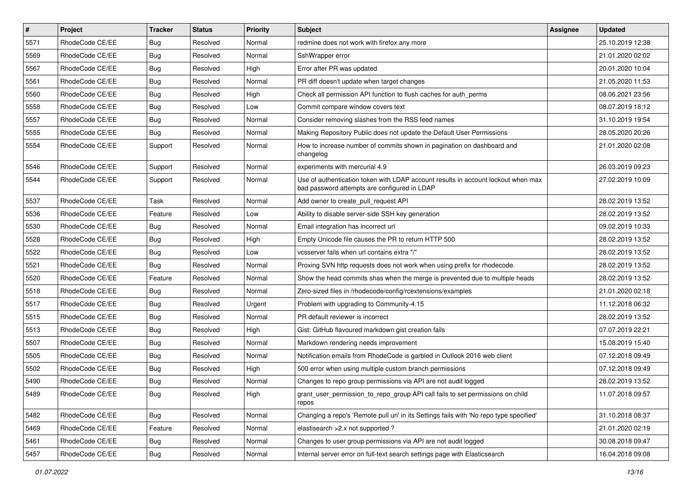| $\vert$ # | Project         | <b>Tracker</b> | <b>Status</b> | <b>Priority</b> | <b>Subject</b>                                                                                                                    | <b>Assignee</b> | <b>Updated</b>   |
|-----------|-----------------|----------------|---------------|-----------------|-----------------------------------------------------------------------------------------------------------------------------------|-----------------|------------------|
| 5571      | RhodeCode CE/EE | <b>Bug</b>     | Resolved      | Normal          | redmine does not work with firefox any more                                                                                       |                 | 25.10.2019 12:38 |
| 5569      | RhodeCode CE/EE | <b>Bug</b>     | Resolved      | Normal          | SshWrapper error                                                                                                                  |                 | 21.01.2020 02:02 |
| 5567      | RhodeCode CE/EE | <b>Bug</b>     | Resolved      | High            | Error after PR was updated                                                                                                        |                 | 20.01.2020 10:04 |
| 5561      | RhodeCode CE/EE | <b>Bug</b>     | Resolved      | Normal          | PR diff doesn't update when target changes                                                                                        |                 | 21.05.2020 11:53 |
| 5560      | RhodeCode CE/EE | Bug            | Resolved      | High            | Check all permission API function to flush caches for auth_perms                                                                  |                 | 08.06.2021 23:56 |
| 5558      | RhodeCode CE/EE | <b>Bug</b>     | Resolved      | Low             | Commit compare window covers text                                                                                                 |                 | 08.07.2019 18:12 |
| 5557      | RhodeCode CE/EE | <b>Bug</b>     | Resolved      | Normal          | Consider removing slashes from the RSS feed names                                                                                 |                 | 31.10.2019 19:54 |
| 5555      | RhodeCode CE/EE | Bug            | Resolved      | Normal          | Making Repository Public does not update the Default User Permissions                                                             |                 | 28.05.2020 20:26 |
| 5554      | RhodeCode CE/EE | Support        | Resolved      | Normal          | How to increase number of commits shown in pagination on dashboard and<br>changelog                                               |                 | 21.01.2020 02:08 |
| 5546      | RhodeCode CE/EE | Support        | Resolved      | Normal          | experiments with mercurial 4.9                                                                                                    |                 | 26.03.2019 09:23 |
| 5544      | RhodeCode CE/EE | Support        | Resolved      | Normal          | Use of authentication token with LDAP account results in account lockout when max<br>bad password attempts are configured in LDAP |                 | 27.02.2019 10:09 |
| 5537      | RhodeCode CE/EE | Task           | Resolved      | Normal          | Add owner to create pull request API                                                                                              |                 | 28.02.2019 13:52 |
| 5536      | RhodeCode CE/EE | Feature        | Resolved      | Low             | Ability to disable server-side SSH key generation                                                                                 |                 | 28.02.2019 13:52 |
| 5530      | RhodeCode CE/EE | Bug            | Resolved      | Normal          | Email integration has incorrect url                                                                                               |                 | 09.02.2019 10:33 |
| 5528      | RhodeCode CE/EE | <b>Bug</b>     | Resolved      | High            | Empty Unicode file causes the PR to return HTTP 500                                                                               |                 | 28.02.2019 13:52 |
| 5522      | RhodeCode CE/EE | <b>Bug</b>     | Resolved      | Low             | vcsserver fails when url contains extra "/"                                                                                       |                 | 28.02.2019 13:52 |
| 5521      | RhodeCode CE/EE | Bug            | Resolved      | Normal          | Proxing SVN http requests does not work when using prefix for rhodecode.                                                          |                 | 28.02.2019 13:52 |
| 5520      | RhodeCode CE/EE | Feature        | Resolved      | Normal          | Show the head commits shas when the merge is prevented due to multiple heads                                                      |                 | 28.02.2019 13:52 |
| 5518      | RhodeCode CE/EE | Bug            | Resolved      | Normal          | Zero-sized files in /rhodecode/config/rcextensions/examples                                                                       |                 | 21.01.2020 02:18 |
| 5517      | RhodeCode CE/EE | <b>Bug</b>     | Resolved      | Urgent          | Problem with upgrading to Community-4.15                                                                                          |                 | 11.12.2018 06:32 |
| 5515      | RhodeCode CE/EE | <b>Bug</b>     | Resolved      | Normal          | PR default reviewer is incorrect                                                                                                  |                 | 28.02.2019 13:52 |
| 5513      | RhodeCode CE/EE | <b>Bug</b>     | Resolved      | High            | Gist: GitHub flavoured markdown gist creation fails                                                                               |                 | 07.07.2019 22:21 |
| 5507      | RhodeCode CE/EE | <b>Bug</b>     | Resolved      | Normal          | Markdown rendering needs improvement                                                                                              |                 | 15.08.2019 15:40 |
| 5505      | RhodeCode CE/EE | Bug            | Resolved      | Normal          | Notification emails from RhodeCode is garbled in Outlook 2016 web client                                                          |                 | 07.12.2018 09:49 |
| 5502      | RhodeCode CE/EE | <b>Bug</b>     | Resolved      | High            | 500 error when using multiple custom branch permissions                                                                           |                 | 07.12.2018 09:49 |
| 5490      | RhodeCode CE/EE | Bug            | Resolved      | Normal          | Changes to repo group permissions via API are not audit logged                                                                    |                 | 28.02.2019 13:52 |
| 5489      | RhodeCode CE/EE | <b>Bug</b>     | Resolved      | High            | grant_user_permission_to_repo_group API call fails to set permissions on child<br>repos                                           |                 | 11.07.2018 09:57 |
| 5482      | RhodeCode CE/EE | <b>Bug</b>     | Resolved      | Normal          | Changing a repo's 'Remote pull uri' in its Settings fails with 'No repo type specified'                                           |                 | 31.10.2018 08:37 |
| 5469      | RhodeCode CE/EE | Feature        | Resolved      | Normal          | elastisearch > 2.x not supported ?                                                                                                |                 | 21.01.2020 02:19 |
| 5461      | RhodeCode CE/EE | Bug            | Resolved      | Normal          | Changes to user group permissions via API are not audit logged                                                                    |                 | 30.08.2018 09:47 |
| 5457      | RhodeCode CE/EE | Bug            | Resolved      | Normal          | Internal server error on full-text search settings page with Elasticsearch                                                        |                 | 16.04.2018 09:08 |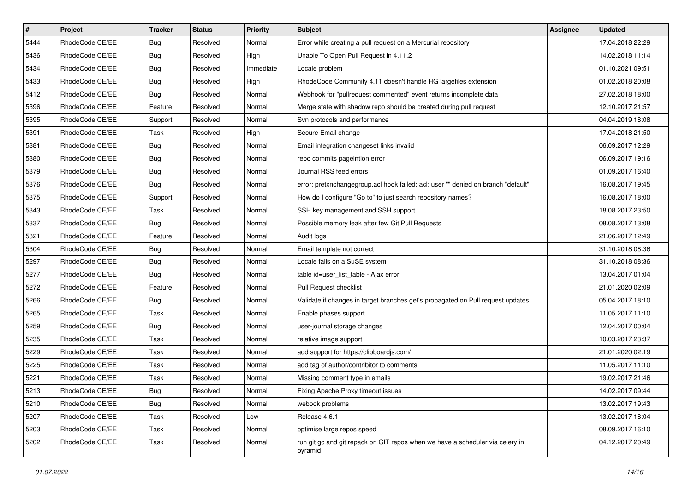| $\pmb{\#}$ | Project         | <b>Tracker</b> | <b>Status</b> | <b>Priority</b> | <b>Subject</b>                                                                           | Assignee | <b>Updated</b>   |
|------------|-----------------|----------------|---------------|-----------------|------------------------------------------------------------------------------------------|----------|------------------|
| 5444       | RhodeCode CE/EE | Bug            | Resolved      | Normal          | Error while creating a pull request on a Mercurial repository                            |          | 17.04.2018 22:29 |
| 5436       | RhodeCode CE/EE | <b>Bug</b>     | Resolved      | High            | Unable To Open Pull Request in 4.11.2                                                    |          | 14.02.2018 11:14 |
| 5434       | RhodeCode CE/EE | Bug            | Resolved      | Immediate       | Locale problem                                                                           |          | 01.10.2021 09:51 |
| 5433       | RhodeCode CE/EE | Bug            | Resolved      | High            | RhodeCode Community 4.11 doesn't handle HG largefiles extension                          |          | 01.02.2018 20:08 |
| 5412       | RhodeCode CE/EE | Bug            | Resolved      | Normal          | Webhook for "pullrequest commented" event returns incomplete data                        |          | 27.02.2018 18:00 |
| 5396       | RhodeCode CE/EE | Feature        | Resolved      | Normal          | Merge state with shadow repo should be created during pull request                       |          | 12.10.2017 21:57 |
| 5395       | RhodeCode CE/EE | Support        | Resolved      | Normal          | Svn protocols and performance                                                            |          | 04.04.2019 18:08 |
| 5391       | RhodeCode CE/EE | Task           | Resolved      | High            | Secure Email change                                                                      |          | 17.04.2018 21:50 |
| 5381       | RhodeCode CE/EE | Bug            | Resolved      | Normal          | Email integration changeset links invalid                                                |          | 06.09.2017 12:29 |
| 5380       | RhodeCode CE/EE | <b>Bug</b>     | Resolved      | Normal          | repo commits pageintion error                                                            |          | 06.09.2017 19:16 |
| 5379       | RhodeCode CE/EE | Bug            | Resolved      | Normal          | Journal RSS feed errors                                                                  |          | 01.09.2017 16:40 |
| 5376       | RhodeCode CE/EE | Bug            | Resolved      | Normal          | error: pretxnchangegroup.acl hook failed: acl: user "" denied on branch "default"        |          | 16.08.2017 19:45 |
| 5375       | RhodeCode CE/EE | Support        | Resolved      | Normal          | How do I configure "Go to" to just search repository names?                              |          | 16.08.2017 18:00 |
| 5343       | RhodeCode CE/EE | Task           | Resolved      | Normal          | SSH key management and SSH support                                                       |          | 18.08.2017 23:50 |
| 5337       | RhodeCode CE/EE | Bug            | Resolved      | Normal          | Possible memory leak after few Git Pull Requests                                         |          | 08.08.2017 13:08 |
| 5321       | RhodeCode CE/EE | Feature        | Resolved      | Normal          | Audit logs                                                                               |          | 21.06.2017 12:49 |
| 5304       | RhodeCode CE/EE | Bug            | Resolved      | Normal          | Email template not correct                                                               |          | 31.10.2018 08:36 |
| 5297       | RhodeCode CE/EE | Bug            | Resolved      | Normal          | Locale fails on a SuSE system                                                            |          | 31.10.2018 08:36 |
| 5277       | RhodeCode CE/EE | Bug            | Resolved      | Normal          | table id=user_list_table - Ajax error                                                    |          | 13.04.2017 01:04 |
| 5272       | RhodeCode CE/EE | Feature        | Resolved      | Normal          | Pull Request checklist                                                                   |          | 21.01.2020 02:09 |
| 5266       | RhodeCode CE/EE | Bug            | Resolved      | Normal          | Validate if changes in target branches get's propagated on Pull request updates          |          | 05.04.2017 18:10 |
| 5265       | RhodeCode CE/EE | Task           | Resolved      | Normal          | Enable phases support                                                                    |          | 11.05.2017 11:10 |
| 5259       | RhodeCode CE/EE | Bug            | Resolved      | Normal          | user-journal storage changes                                                             |          | 12.04.2017 00:04 |
| 5235       | RhodeCode CE/EE | Task           | Resolved      | Normal          | relative image support                                                                   |          | 10.03.2017 23:37 |
| 5229       | RhodeCode CE/EE | Task           | Resolved      | Normal          | add support for https://clipboardjs.com/                                                 |          | 21.01.2020 02:19 |
| 5225       | RhodeCode CE/EE | Task           | Resolved      | Normal          | add tag of author/contribitor to comments                                                |          | 11.05.2017 11:10 |
| 5221       | RhodeCode CE/EE | Task           | Resolved      | Normal          | Missing comment type in emails                                                           |          | 19.02.2017 21:46 |
| 5213       | RhodeCode CE/EE | <b>Bug</b>     | Resolved      | Normal          | Fixing Apache Proxy timeout issues                                                       |          | 14.02.2017 09:44 |
| 5210       | RhodeCode CE/EE | Bug            | Resolved      | Normal          | webook problems                                                                          |          | 13.02.2017 19:43 |
| 5207       | RhodeCode CE/EE | Task           | Resolved      | Low             | Release 4.6.1                                                                            |          | 13.02.2017 18:04 |
| 5203       | RhodeCode CE/EE | Task           | Resolved      | Normal          | optimise large repos speed                                                               |          | 08.09.2017 16:10 |
| 5202       | RhodeCode CE/EE | Task           | Resolved      | Normal          | run git gc and git repack on GIT repos when we have a scheduler via celery in<br>pyramid |          | 04.12.2017 20:49 |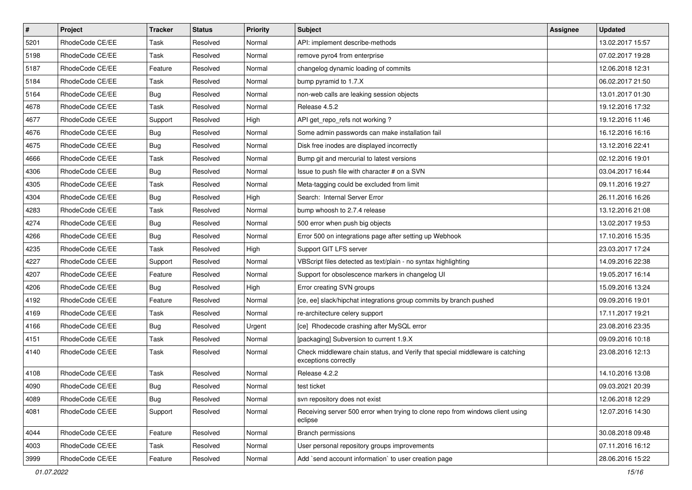| $\vert$ # | Project         | <b>Tracker</b> | <b>Status</b> | <b>Priority</b> | <b>Subject</b>                                                                                        | <b>Assignee</b> | <b>Updated</b>   |
|-----------|-----------------|----------------|---------------|-----------------|-------------------------------------------------------------------------------------------------------|-----------------|------------------|
| 5201      | RhodeCode CE/EE | Task           | Resolved      | Normal          | API: implement describe-methods                                                                       |                 | 13.02.2017 15:57 |
| 5198      | RhodeCode CE/EE | Task           | Resolved      | Normal          | remove pyro4 from enterprise                                                                          |                 | 07.02.2017 19:28 |
| 5187      | RhodeCode CE/EE | Feature        | Resolved      | Normal          | changelog dynamic loading of commits                                                                  |                 | 12.06.2018 12:31 |
| 5184      | RhodeCode CE/EE | Task           | Resolved      | Normal          | bump pyramid to 1.7.X                                                                                 |                 | 06.02.2017 21:50 |
| 5164      | RhodeCode CE/EE | <b>Bug</b>     | Resolved      | Normal          | non-web calls are leaking session objects                                                             |                 | 13.01.2017 01:30 |
| 4678      | RhodeCode CE/EE | Task           | Resolved      | Normal          | Release 4.5.2                                                                                         |                 | 19.12.2016 17:32 |
| 4677      | RhodeCode CE/EE | Support        | Resolved      | High            | API get repo refs not working?                                                                        |                 | 19.12.2016 11:46 |
| 4676      | RhodeCode CE/EE | <b>Bug</b>     | Resolved      | Normal          | Some admin passwords can make installation fail                                                       |                 | 16.12.2016 16:16 |
| 4675      | RhodeCode CE/EE | <b>Bug</b>     | Resolved      | Normal          | Disk free inodes are displayed incorrectly                                                            |                 | 13.12.2016 22:41 |
| 4666      | RhodeCode CE/EE | Task           | Resolved      | Normal          | Bump git and mercurial to latest versions                                                             |                 | 02.12.2016 19:01 |
| 4306      | RhodeCode CE/EE | Bug            | Resolved      | Normal          | Issue to push file with character # on a SVN                                                          |                 | 03.04.2017 16:44 |
| 4305      | RhodeCode CE/EE | Task           | Resolved      | Normal          | Meta-tagging could be excluded from limit                                                             |                 | 09.11.2016 19:27 |
| 4304      | RhodeCode CE/EE | <b>Bug</b>     | Resolved      | High            | Search: Internal Server Error                                                                         |                 | 26.11.2016 16:26 |
| 4283      | RhodeCode CE/EE | Task           | Resolved      | Normal          | bump whoosh to 2.7.4 release                                                                          |                 | 13.12.2016 21:08 |
| 4274      | RhodeCode CE/EE | <b>Bug</b>     | Resolved      | Normal          | 500 error when push big objects                                                                       |                 | 13.02.2017 19:53 |
| 4266      | RhodeCode CE/EE | Bug            | Resolved      | Normal          | Error 500 on integrations page after setting up Webhook                                               |                 | 17.10.2016 15:35 |
| 4235      | RhodeCode CE/EE | Task           | Resolved      | High            | Support GIT LFS server                                                                                |                 | 23.03.2017 17:24 |
| 4227      | RhodeCode CE/EE | Support        | Resolved      | Normal          | VBScript files detected as text/plain - no syntax highlighting                                        |                 | 14.09.2016 22:38 |
| 4207      | RhodeCode CE/EE | Feature        | Resolved      | Normal          | Support for obsolescence markers in changelog UI                                                      |                 | 19.05.2017 16:14 |
| 4206      | RhodeCode CE/EE | Bug            | Resolved      | High            | Error creating SVN groups                                                                             |                 | 15.09.2016 13:24 |
| 4192      | RhodeCode CE/EE | Feature        | Resolved      | Normal          | [ce, ee] slack/hipchat integrations group commits by branch pushed                                    |                 | 09.09.2016 19:01 |
| 4169      | RhodeCode CE/EE | Task           | Resolved      | Normal          | re-architecture celery support                                                                        |                 | 17.11.2017 19:21 |
| 4166      | RhodeCode CE/EE | <b>Bug</b>     | Resolved      | Urgent          | [ce] Rhodecode crashing after MySQL error                                                             |                 | 23.08.2016 23:35 |
| 4151      | RhodeCode CE/EE | Task           | Resolved      | Normal          | [packaging] Subversion to current 1.9.X                                                               |                 | 09.09.2016 10:18 |
| 4140      | RhodeCode CE/EE | Task           | Resolved      | Normal          | Check middleware chain status, and Verify that special middleware is catching<br>exceptions correctly |                 | 23.08.2016 12:13 |
| 4108      | RhodeCode CE/EE | Task           | Resolved      | Normal          | Release 4.2.2                                                                                         |                 | 14.10.2016 13:08 |
| 4090      | RhodeCode CE/EE | Bug            | Resolved      | Normal          | test ticket                                                                                           |                 | 09.03.2021 20:39 |
| 4089      | RhodeCode CE/EE | <b>Bug</b>     | Resolved      | Normal          | svn repository does not exist                                                                         |                 | 12.06.2018 12:29 |
| 4081      | RhodeCode CE/EE | Support        | Resolved      | Normal          | Receiving server 500 error when trying to clone repo from windows client using<br>eclipse             |                 | 12.07.2016 14:30 |
| 4044      | RhodeCode CE/EE | Feature        | Resolved      | Normal          | <b>Branch permissions</b>                                                                             |                 | 30.08.2018 09:48 |
| 4003      | RhodeCode CE/EE | Task           | Resolved      | Normal          | User personal repository groups improvements                                                          |                 | 07.11.2016 16:12 |
| 3999      | RhodeCode CE/EE | Feature        | Resolved      | Normal          | Add `send account information` to user creation page                                                  |                 | 28.06.2016 15:22 |